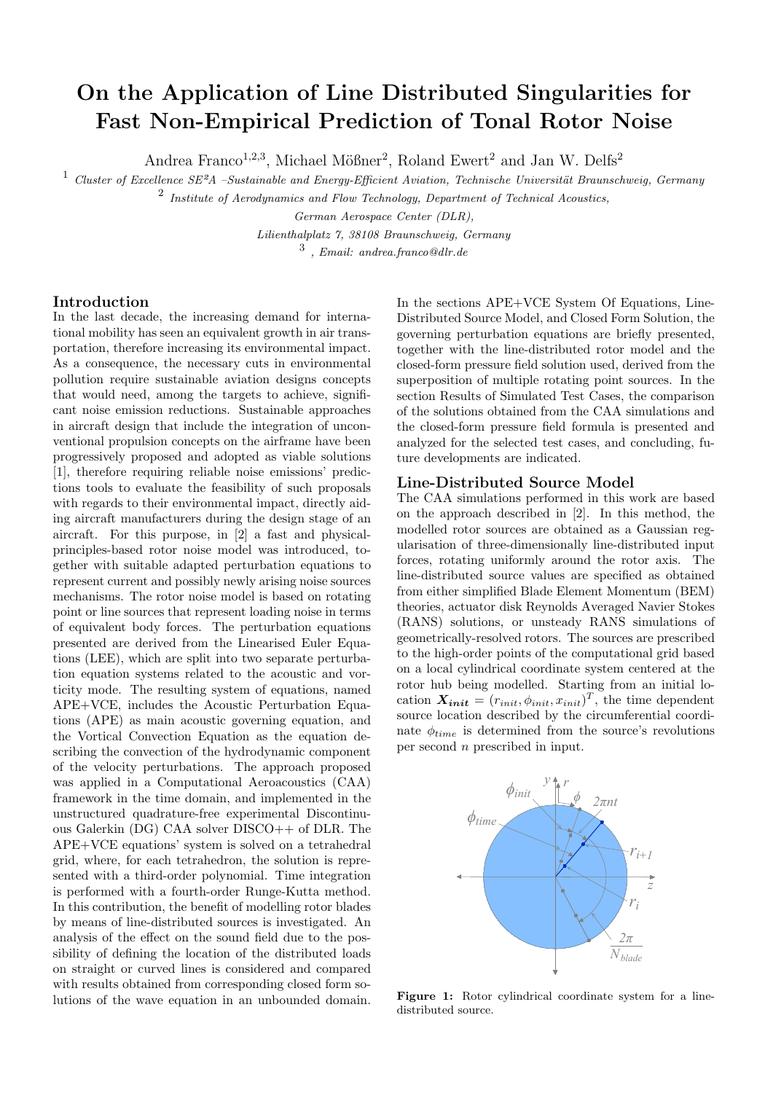# On the Application of Line Distributed Singularities for Fast Non-Empirical Prediction of Tonal Rotor Noise

Andrea Franco<sup>1,2,3</sup>, Michael Mößner<sup>2</sup>, Roland Ewert<sup>2</sup> and Jan W. Delfs<sup>2</sup>

 $1$  Cluster of Excellence SE $2A$  –Sustainable and Energy-Efficient Aviation, Technische Universität Braunschweig, Germany

<sup>2</sup> Institute of Aerodynamics and Flow Technology, Department of Technical Acoustics,

German Aerospace Center (DLR),

Lilienthalplatz 7, 38108 Braunschweig, Germany

 $\frac{3}{3}$ , Email: andrea.franco@dlr.de

### Introduction

In the last decade, the increasing demand for international mobility has seen an equivalent growth in air transportation, therefore increasing its environmental impact. As a consequence, the necessary cuts in environmental pollution require sustainable aviation designs concepts that would need, among the targets to achieve, significant noise emission reductions. Sustainable approaches in aircraft design that include the integration of unconventional propulsion concepts on the airframe have been progressively proposed and adopted as viable solutions [1], therefore requiring reliable noise emissions' predictions tools to evaluate the feasibility of such proposals with regards to their environmental impact, directly aiding aircraft manufacturers during the design stage of an aircraft. For this purpose, in [2] a fast and physicalprinciples-based rotor noise model was introduced, together with suitable adapted perturbation equations to represent current and possibly newly arising noise sources mechanisms. The rotor noise model is based on rotating point or line sources that represent loading noise in terms of equivalent body forces. The perturbation equations presented are derived from the Linearised Euler Equations (LEE), which are split into two separate perturbation equation systems related to the acoustic and vorticity mode. The resulting system of equations, named APE+VCE, includes the Acoustic Perturbation Equations (APE) as main acoustic governing equation, and the Vortical Convection Equation as the equation describing the convection of the hydrodynamic component of the velocity perturbations. The approach proposed was applied in a Computational Aeroacoustics (CAA) framework in the time domain, and implemented in the unstructured quadrature-free experimental Discontinuous Galerkin (DG) CAA solver DISCO++ of DLR. The APE+VCE equations' system is solved on a tetrahedral grid, where, for each tetrahedron, the solution is represented with a third-order polynomial. Time integration is performed with a fourth-order Runge-Kutta method. In this contribution, the benefit of modelling rotor blades by means of line-distributed sources is investigated. An analysis of the effect on the sound field due to the possibility of defining the location of the distributed loads on straight or curved lines is considered and compared with results obtained from corresponding closed form solutions of the wave equation in an unbounded domain. In the sections APE+VCE System Of Equations, Line-Distributed Source Model, and Closed Form Solution, the governing perturbation equations are briefly presented, together with the line-distributed rotor model and the closed-form pressure field solution used, derived from the superposition of multiple rotating point sources. In the section Results of Simulated Test Cases, the comparison of the solutions obtained from the CAA simulations and the closed-form pressure field formula is presented and analyzed for the selected test cases, and concluding, future developments are indicated.

### Line-Distributed Source Model

The CAA simulations performed in this work are based on the approach described in [2]. In this method, the modelled rotor sources are obtained as a Gaussian regularisation of three-dimensionally line-distributed input forces, rotating uniformly around the rotor axis. The line-distributed source values are specified as obtained from either simplified Blade Element Momentum (BEM) theories, actuator disk Reynolds Averaged Navier Stokes (RANS) solutions, or unsteady RANS simulations of geometrically-resolved rotors. The sources are prescribed to the high-order points of the computational grid based on a local cylindrical coordinate system centered at the rotor hub being modelled. Starting from an initial location  $\mathbf{X}_{init} = (r_{init}, \phi_{init}, x_{init})^T$ , the time dependent source location described by the circumferential coordinate  $\phi_{time}$  is determined from the source's revolutions per second n prescribed in input.



Figure 1: Rotor cylindrical coordinate system for a linedistributed source.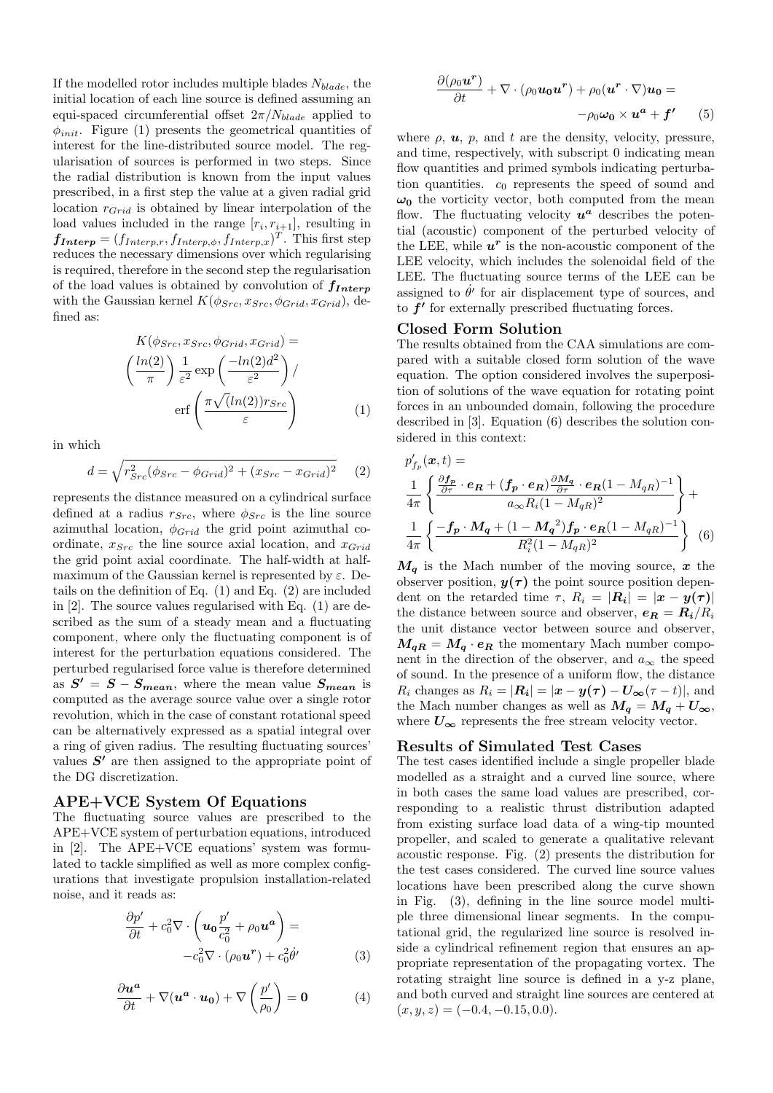If the modelled rotor includes multiple blades  $N_{black}$ , the initial location of each line source is defined assuming an equi-spaced circumferential offset  $2\pi/N_{black}}$  applied to  $\phi_{init}$ . Figure (1) presents the geometrical quantities of interest for the line-distributed source model. The regularisation of sources is performed in two steps. Since the radial distribution is known from the input values prescribed, in a first step the value at a given radial grid location  $r_{Grid}$  is obtained by linear interpolation of the load values included in the range  $[r_i, r_{i+1}]$ , resulting in  $f_{Interp} = (f_{Interp,r}, f_{Interp,\phi}, f_{Interp,x})^T$ . This first step reduces the necessary dimensions over which regularising is required, therefore in the second step the regularisation of the load values is obtained by convolution of  $f_{Interp}$ with the Gaussian kernel  $K(\phi_{Src}, x_{Src}, \phi_{Grid}, x_{Grid})$ , defined as:

$$
K(\phi_{Src}, x_{Src}, \phi_{Grid}, x_{Grid}) =
$$

$$
\left(\frac{\ln(2)}{\pi}\right) \frac{1}{\varepsilon^2} \exp\left(\frac{-\ln(2)d^2}{\varepsilon^2}\right) / \operatorname{erf}\left(\frac{\pi \sqrt{(\ln(2))}r_{Src}}{\varepsilon}\right)
$$
(1)

in which

$$
d = \sqrt{r_{Src}^2(\phi_{Src} - \phi_{Grid})^2 + (x_{Src} - x_{Grid})^2}
$$
 (2)

represents the distance measured on a cylindrical surface defined at a radius  $r_{Src}$ , where  $\phi_{Src}$  is the line source azimuthal location,  $\phi_{Grid}$  the grid point azimuthal coordinate,  $x_{Src}$  the line source axial location, and  $x_{Grid}$ the grid point axial coordinate. The half-width at halfmaximum of the Gaussian kernel is represented by  $\varepsilon$ . Details on the definition of Eq. (1) and Eq. (2) are included in [2]. The source values regularised with Eq. (1) are described as the sum of a steady mean and a fluctuating component, where only the fluctuating component is of interest for the perturbation equations considered. The perturbed regularised force value is therefore determined as  $S' = S - S_{mean}$ , where the mean value  $S_{mean}$  is computed as the average source value over a single rotor revolution, which in the case of constant rotational speed can be alternatively expressed as a spatial integral over a ring of given radius. The resulting fluctuating sources' values  $S'$  are then assigned to the appropriate point of the DG discretization.

## APE+VCE System Of Equations

The fluctuating source values are prescribed to the APE+VCE system of perturbation equations, introduced in [2]. The APE+VCE equations' system was formulated to tackle simplified as well as more complex configurations that investigate propulsion installation-related noise, and it reads as:

$$
\frac{\partial p'}{\partial t} + c_0^2 \nabla \cdot \left( \mathbf{u}_0 \frac{p'}{c_0^2} + \rho_0 \mathbf{u}^a \right) =
$$
  

$$
-c_0^2 \nabla \cdot (\rho_0 \mathbf{u}^r) + c_0^2 \dot{\theta}'
$$
 (3)

$$
\frac{\partial u^a}{\partial t} + \nabla (u^a \cdot u_0) + \nabla \left(\frac{p'}{\rho_0}\right) = 0 \tag{4}
$$

$$
\frac{\partial(\rho_0 \mathbf{u}^{\mathbf{r}})}{\partial t} + \nabla \cdot (\rho_0 \mathbf{u_0} \mathbf{u}^{\mathbf{r}}) + \rho_0 (\mathbf{u}^{\mathbf{r}} \cdot \nabla) \mathbf{u_0} = -\rho_0 \boldsymbol{\omega_0} \times \mathbf{u}^{\mathbf{a}} + \boldsymbol{f'} \qquad (5)
$$

where  $\rho$ ,  $\boldsymbol{u}$ ,  $p$ , and  $t$  are the density, velocity, pressure, and time, respectively, with subscript 0 indicating mean flow quantities and primed symbols indicating perturbation quantities.  $c_0$  represents the speed of sound and  $\omega_0$  the vorticity vector, both computed from the mean flow. The fluctuating velocity  $u^a$  describes the potential (acoustic) component of the perturbed velocity of the LEE, while  $u^r$  is the non-acoustic component of the LEE velocity, which includes the solenoidal field of the LEE. The fluctuating source terms of the LEE can be assigned to  $\dot{\theta}'$  for air displacement type of sources, and to  $f'$  for externally prescribed fluctuating forces.

### Closed Form Solution

The results obtained from the CAA simulations are compared with a suitable closed form solution of the wave equation. The option considered involves the superposition of solutions of the wave equation for rotating point forces in an unbounded domain, following the procedure described in [3]. Equation (6) describes the solution considered in this context:

$$
p'_{f_p}(\boldsymbol{x},t) = \frac{1}{4\pi} \left\{ \frac{\frac{\partial f_p}{\partial \tau} \cdot e_{\boldsymbol{R}} + (f_p \cdot e_{\boldsymbol{R}}) \frac{\partial M_q}{\partial \tau} \cdot e_{\boldsymbol{R}} (1 - M_{qR})^{-1}}{a_{\infty} R_i (1 - M_{qR})^2} \right\} + \frac{1}{4\pi} \left\{ \frac{-f_p \cdot M_q + (1 - M_q^2) f_p \cdot e_{\boldsymbol{R}} (1 - M_{qR})^{-1}}{R_i^2 (1 - M_{qR})^2} \right\} (6)
$$

 $M_q$  is the Mach number of the moving source, x the observer position,  $y(\tau)$  the point source position dependent on the retarded time  $\tau$ ,  $R_i = |\mathbf{R_i}| = |\mathbf{x} - \mathbf{y}(\tau)|$ the distance between source and observer,  $e_R = R_i/R_i$ the unit distance vector between source and observer,  $M_{qR} = M_q \cdot e_R$  the momentary Mach number component in the direction of the observer, and  $a_{\infty}$  the speed of sound. In the presence of a uniform flow, the distance  $R_i$  changes as  $R_i = |\mathbf{R_i}| = |\mathbf{x} - \mathbf{y}(\tau) - \mathbf{U_{\infty}}(\tau - t)|$ , and the Mach number changes as well as  $M_q = M_q + U_{\infty}$ , where  $U_{\infty}$  represents the free stream velocity vector.

## Results of Simulated Test Cases

The test cases identified include a single propeller blade modelled as a straight and a curved line source, where in both cases the same load values are prescribed, corresponding to a realistic thrust distribution adapted from existing surface load data of a wing-tip mounted propeller, and scaled to generate a qualitative relevant acoustic response. Fig. (2) presents the distribution for the test cases considered. The curved line source values locations have been prescribed along the curve shown in Fig. (3), defining in the line source model multiple three dimensional linear segments. In the computational grid, the regularized line source is resolved inside a cylindrical refinement region that ensures an appropriate representation of the propagating vortex. The rotating straight line source is defined in a y-z plane, and both curved and straight line sources are centered at  $(x, y, z) = (-0.4, -0.15, 0.0).$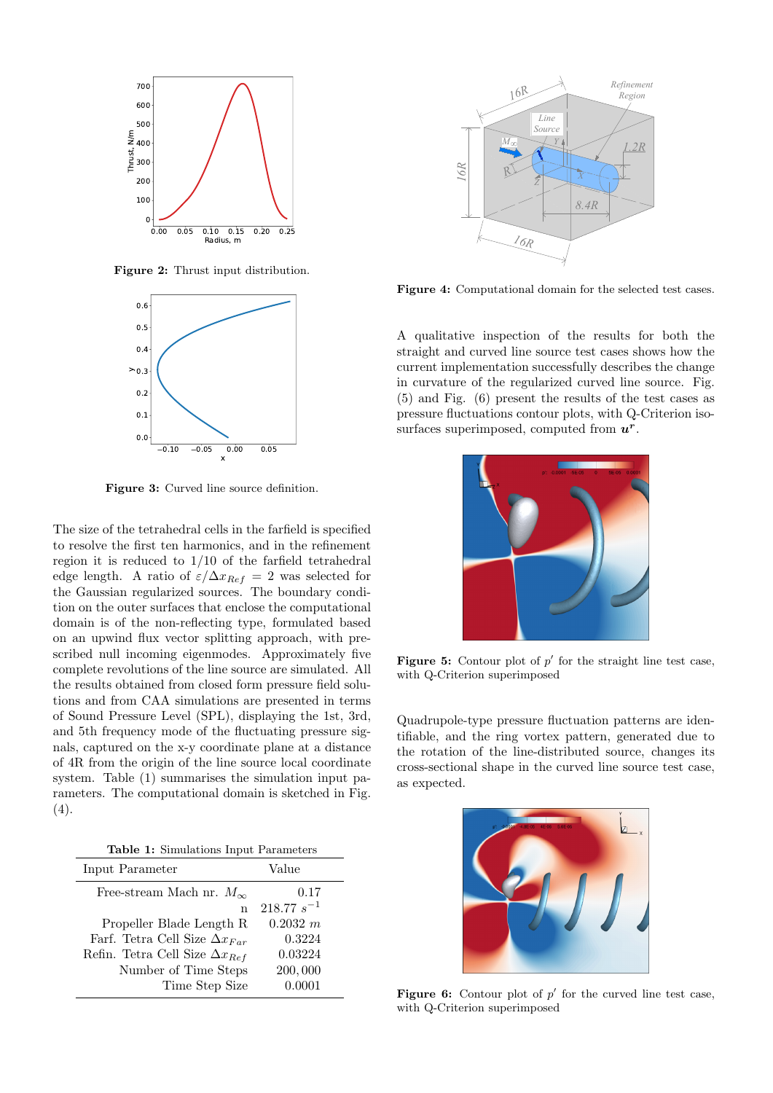

Figure 2: Thrust input distribution.



Figure 3: Curved line source definition.

The size of the tetrahedral cells in the farfield is specified to resolve the first ten harmonics, and in the refinement region it is reduced to 1/10 of the farfield tetrahedral edge length. A ratio of  $\varepsilon/\Delta x_{Ref} = 2$  was selected for the Gaussian regularized sources. The boundary condition on the outer surfaces that enclose the computational domain is of the non-reflecting type, formulated based on an upwind flux vector splitting approach, with prescribed null incoming eigenmodes. Approximately five complete revolutions of the line source are simulated. All the results obtained from closed form pressure field solutions and from CAA simulations are presented in terms of Sound Pressure Level (SPL), displaying the 1st, 3rd, and 5th frequency mode of the fluctuating pressure signals, captured on the x-y coordinate plane at a distance of 4R from the origin of the line source local coordinate system. Table (1) summarises the simulation input parameters. The computational domain is sketched in Fig.  $(4).$ 

Table 1: Simulations Input Parameters

| Input Parameter                         | Value           |
|-----------------------------------------|-----------------|
| Free-stream Mach nr. $M_{\infty}$       | 0.17            |
| n                                       | $218.77 s^{-1}$ |
| Propeller Blade Length R                | 0.2032 m        |
| Farf. Tetra Cell Size $\Delta x_{Far}$  | 0.3224          |
| Refin. Tetra Cell Size $\Delta x_{Ref}$ | 0.03224         |
| Number of Time Steps                    | 200,000         |
| Time Step Size                          | 0.0001          |



Figure 4: Computational domain for the selected test cases.

A qualitative inspection of the results for both the straight and curved line source test cases shows how the current implementation successfully describes the change in curvature of the regularized curved line source. Fig. (5) and Fig. (6) present the results of the test cases as pressure fluctuations contour plots, with Q-Criterion isosurfaces superimposed, computed from  $u^r$ .



**Figure 5:** Contour plot of  $p'$  for the straight line test case, with Q-Criterion superimposed

Quadrupole-type pressure fluctuation patterns are identifiable, and the ring vortex pattern, generated due to the rotation of the line-distributed source, changes its cross-sectional shape in the curved line source test case, as expected.



Figure 6: Contour plot of  $p'$  for the curved line test case, with Q-Criterion superimposed